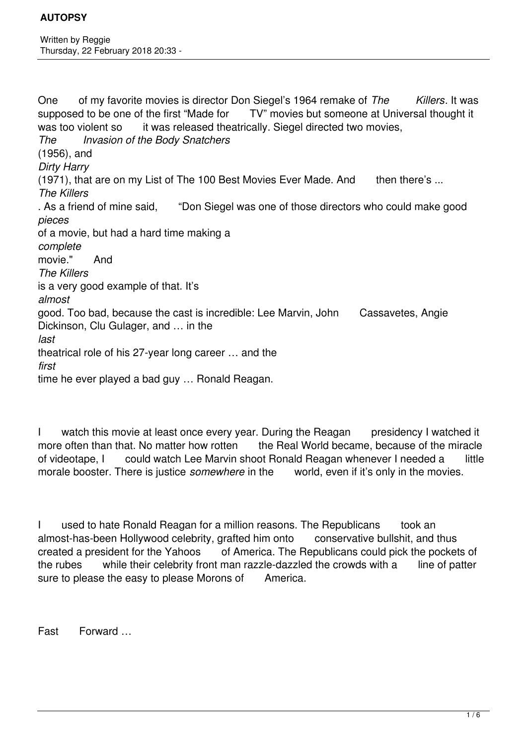One of my favorite movies is director Don Siegel's 1964 remake of *The Killers*. It was supposed to be one of the first "Made for TV" movies but someone at Universal thought it was too violent so it was released theatrically. Siegel directed two movies, *The Invasion of the Body Snatchers* (1956), and *Dirty Harry* (1971), that are on my List of The 100 Best Movies Ever Made. And then there's ... *The Killers* . As a friend of mine said, "Don Siegel was one of those directors who could make good *pieces* of a movie, but had a hard time making a *complete* movie." And *The Killers* is a very good example of that. It's *almost* good. Too bad, because the cast is incredible: Lee Marvin, John Cassavetes, Angie Dickinson, Clu Gulager, and … in the *last* theatrical role of his 27-year long career … and the *first* time he ever played a bad guy … Ronald Reagan.

I watch this movie at least once every year. During the Reagan presidency I watched it more often than that. No matter how rotten the Real World became, because of the miracle of videotape, I could watch Lee Marvin shoot Ronald Reagan whenever I needed a little morale booster. There is justice *somewhere* in the world, even if it's only in the movies.

I used to hate Ronald Reagan for a million reasons. The Republicans took an almost-has-been Hollywood celebrity, grafted him onto conservative bullshit, and thus created a president for the Yahoos of America. The Republicans could pick the pockets of the rubes while their celebrity front man razzle-dazzled the crowds with a line of patter sure to please the easy to please Morons of America.

Fast Forward …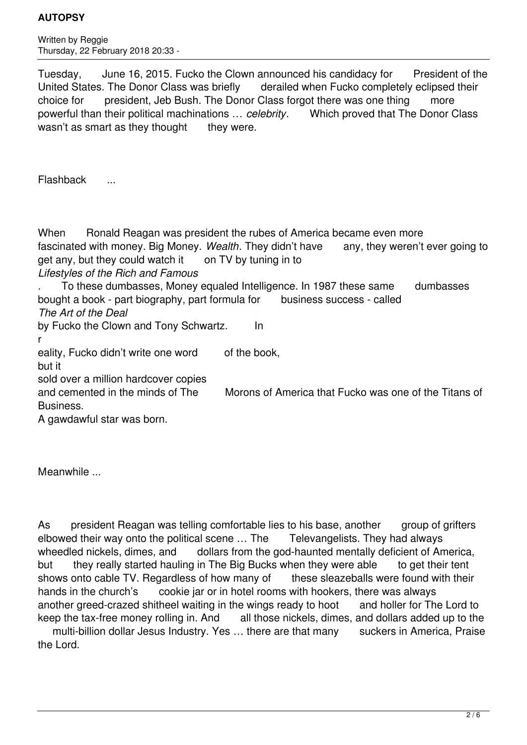Written by Reggie Thursday, 22 February 2018 20:33 -

Tuesday, June 16, 2015. Fucko the Clown announced his candidacy for President of the United States. The Donor Class was briefly derailed when Fucko completely eclipsed their choice for president, Jeb Bush. The Donor Class forgot there was one thing more powerful than their political machinations … *celebrity*. Which proved that The Donor Class wasn't as smart as they thought they were.

Flashback ...

When Bonald Reagan was president the rubes of America became even more fascinated with money. Big Money. *Wealth*. They didn't have any, they weren't ever going to get any, but they could watch it on TV by tuning in to

*Lifestyles of the Rich and Famous*

. To these dumbasses, Money equaled Intelligence. In 1987 these same dumbasses bought a book - part biography, part formula for business success - called *The Art of the Deal* 

by Fucko the Clown and Tony Schwartz. In

r

eality, Fucko didn't write one word of the book,

but it

sold over a million hardcover copies

and cemented in the minds of The Morons of America that Fucko was one of the Titans of Business.

A gawdawful star was born.

Meanwhile ...

As president Reagan was telling comfortable lies to his base, another group of grifters elbowed their way onto the political scene … The Televangelists. They had always wheedled nickels, dimes, and dollars from the god-haunted mentally deficient of America, but they really started hauling in The Big Bucks when they were able to get their tent shows onto cable TV. Regardless of how many of these sleazeballs were found with their hands in the church's cookie jar or in hotel rooms with hookers, there was always another greed-crazed shitheel waiting in the wings ready to hoot and holler for The Lord to keep the tax-free money rolling in. And all those nickels, dimes, and dollars added up to the

multi-billion dollar Jesus Industry. Yes ... there are that many suckers in America. Praise the Lord.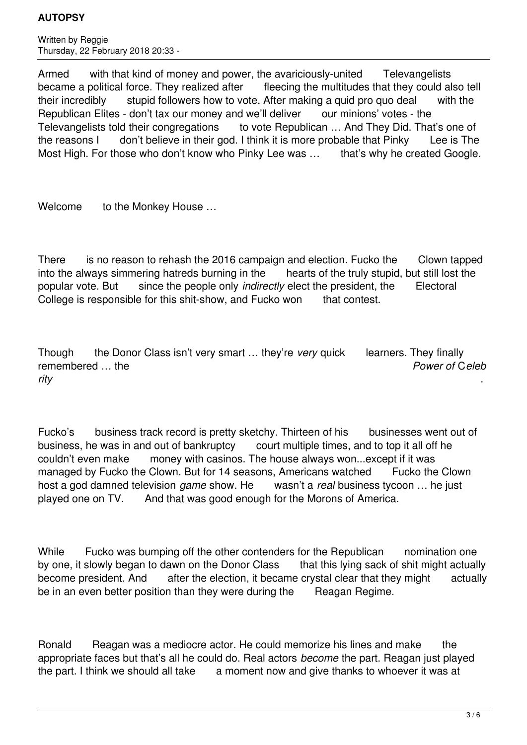Written by Reggie Thursday, 22 February 2018 20:33 -

Armed with that kind of money and power, the avariciously-united Televangelists became a political force. They realized after fleecing the multitudes that they could also tell their incredibly stupid followers how to vote. After making a quid pro quo deal with the Republican Elites - don't tax our money and we'll deliver our minions' votes - the Televangelists told their congregations to vote Republican … And They Did. That's one of the reasons I don't believe in their god. I think it is more probable that Pinky Lee is The Most High. For those who don't know who Pinky Lee was ... that's why he created Google.

Welcome to the Monkey House ...

There is no reason to rehash the 2016 campaign and election. Fucko the Clown tapped into the always simmering hatreds burning in the hearts of the truly stupid, but still lost the popular vote. But since the people only *indirectly* elect the president, the Electoral College is responsible for this shit-show, and Fucko won that contest.

Though the Donor Class isn't very smart … they're *very* quick learners. They finally remembered … the *Power of* C*eleb rity* .

Fucko's business track record is pretty sketchy. Thirteen of his businesses went out of business, he was in and out of bankruptcy court multiple times, and to top it all off he couldn't even make money with casinos. The house always won...except if it was managed by Fucko the Clown. But for 14 seasons, Americans watched Fucko the Clown host a god damned television *game* show. He wasn't a *real* business tycoon … he just played one on TV. And that was good enough for the Morons of America.

While Fucko was bumping off the other contenders for the Republican nomination one by one, it slowly began to dawn on the Donor Class that this lying sack of shit might actually become president. And after the election, it became crystal clear that they might actually be in an even better position than they were during the Reagan Regime.

Ronald Reagan was a mediocre actor. He could memorize his lines and make the appropriate faces but that's all he could do. Real actors *become* the part. Reagan just played the part. I think we should all take a moment now and give thanks to whoever it was at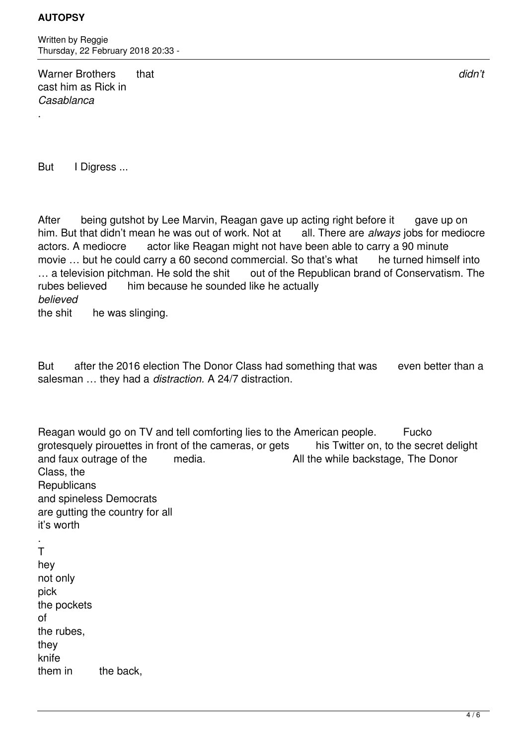.

Written by Reggie Thursday, 22 February 2018 20:33 -

Warner Brothers that *didn't* cast him as Rick in *Casablanca*

But I Digress ...

After being gutshot by Lee Marvin, Reagan gave up acting right before it gave up on him. But that didn't mean he was out of work. Not at all. There are *always* jobs for mediocre actors. A mediocre actor like Reagan might not have been able to carry a 90 minute movie ... but he could carry a 60 second commercial. So that's what he turned himself into ... a television pitchman. He sold the shit out of the Republican brand of Conservatism. The rubes believed him because he sounded like he actually *believed*

the shit he was slinging.

But after the 2016 election The Donor Class had something that was even better than a salesman … they had a *distraction.* A 24/7 distraction.

Reagan would go on TV and tell comforting lies to the American people. Fucko grotesquely pirouettes in front of the cameras, or gets his Twitter on, to the secret delight and faux outrage of the media. All the while backstage, The Donor Class, the **Republicans** and spineless Democrats are gutting the country for all it's worth

. T hey not only pick the pockets of the rubes, they knife them in the back.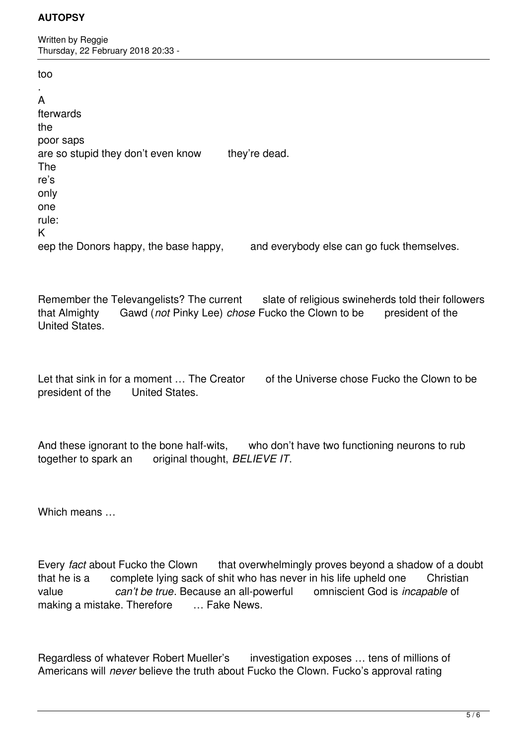Written by Reggie Thursday, 22 February 2018 20:33 -

too

| A                                     |                                            |
|---------------------------------------|--------------------------------------------|
| fterwards                             |                                            |
| the                                   |                                            |
| poor saps                             |                                            |
| are so stupid they don't even know    | they're dead.                              |
| The                                   |                                            |
| re's                                  |                                            |
| only                                  |                                            |
| one                                   |                                            |
| rule:                                 |                                            |
| K                                     |                                            |
| eep the Donors happy, the base happy, | and everybody else can go fuck themselves. |

Remember the Televangelists? The current slate of religious swineherds told their followers that Almighty Gawd (*not* Pinky Lee) *chose* Fucko the Clown to be president of the United States.

Let that sink in for a moment ... The Creator of the Universe chose Fucko the Clown to be president of the United States.

And these ignorant to the bone half-wits, who don't have two functioning neurons to rub together to spark an original thought, *BELIEVE IT*.

Which means …

Every *fact* about Fucko the Clown that overwhelmingly proves beyond a shadow of a doubt that he is a complete lying sack of shit who has never in his life upheld one Christian value *can't be true*. Because an all-powerful omniscient God is *incapable* of making a mistake. Therefore ... Fake News.

Regardless of whatever Robert Mueller's investigation exposes … tens of millions of Americans will *never* believe the truth about Fucko the Clown. Fucko's approval rating